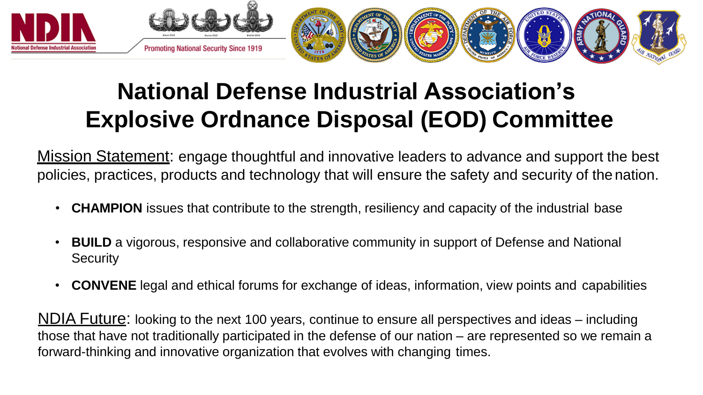

## **National Defense Industrial Association's Explosive Ordnance Disposal (EOD) Committee**

<u>Mission Statement</u>: engage thoughtful and innovative leaders to advance and support the best policies, practices, products and technology that will ensure the safety and security of the nation.

- **CHAMPION** issues that contribute to the strength, resiliency and capacity of the industrial base
- **BUILD** a vigorous, responsive and collaborative community in support of Defense and National **Security**
- **CONVENE** legal and ethical forums for exchange of ideas, information, view points and capabilities

NDIA Future: looking to the next 100 years, continue to ensure all perspectives and ideas – including those that have not traditionally participated in the defense of our nation – are represented so we remain a forward-thinking and innovative organization that evolves with changing times.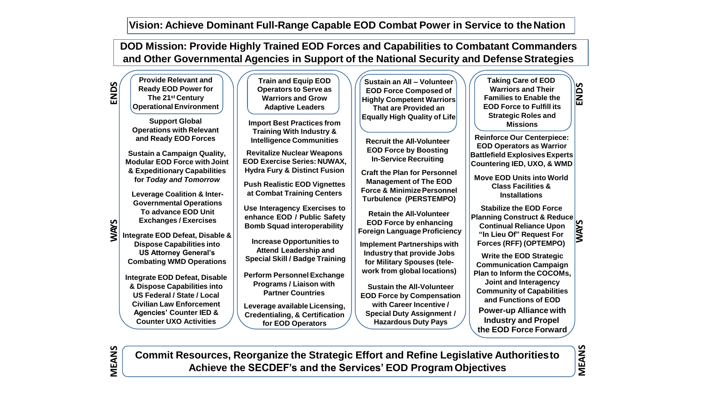**DOD Mission: Provide Highly Trained EOD Forces and Capabilities to Combatant Commanders and Other Governmental Agencies in Support of the National Security and DefenseStrategies**

| <b>ENDS</b> | <b>Provide Relevant and</b><br><b>Ready EOD Power for</b><br>The 21 <sup>st</sup> Century<br>Operational Environment<br><b>Support Global</b><br><b>Operations with Relevant</b><br>and Ready EOD Forces                                                                                                                                                                                                                                              | <b>Train and Equip EOD</b><br><b>Operators to Serve as</b><br><b>Warriors and Grow</b><br><b>Adaptive Leaders</b><br><b>Import Best Practices from</b><br><b>Training With Industry &amp;</b>                                                                                                                                                                                                                        | Sustain an All - Volunteer<br><b>EOD Force Composed of</b><br><b>Highly Competent Warriors</b><br>That are Provided an<br><b>Equally High Quality of Life</b>                                                                                                                                                                                                                                                                                                                                                                                                                                                                                                       | <b>Taking Care of EOD</b><br><b>ENDS</b><br><b>Warriors and Their</b><br><b>Families to Enable the</b><br><b>EOD Force to Fulfill its</b><br><b>Strategic Roles and</b><br><b>Missions</b><br><b>Reinforce Our Centerpiece:</b>                                                                                                                                                                                                      |  |
|-------------|-------------------------------------------------------------------------------------------------------------------------------------------------------------------------------------------------------------------------------------------------------------------------------------------------------------------------------------------------------------------------------------------------------------------------------------------------------|----------------------------------------------------------------------------------------------------------------------------------------------------------------------------------------------------------------------------------------------------------------------------------------------------------------------------------------------------------------------------------------------------------------------|---------------------------------------------------------------------------------------------------------------------------------------------------------------------------------------------------------------------------------------------------------------------------------------------------------------------------------------------------------------------------------------------------------------------------------------------------------------------------------------------------------------------------------------------------------------------------------------------------------------------------------------------------------------------|--------------------------------------------------------------------------------------------------------------------------------------------------------------------------------------------------------------------------------------------------------------------------------------------------------------------------------------------------------------------------------------------------------------------------------------|--|
| <b>NAVS</b> | <b>Sustain a Campaign Quality,</b><br><b>Modular EOD Force with Joint</b><br>& Expeditionary Capabilities<br>for Today and Tomorrow<br><b>Leverage Coalition &amp; Inter-</b>                                                                                                                                                                                                                                                                         | <b>Intelligence Communities</b><br><b>Revitalize Nuclear Weapons</b><br><b>EOD Exercise Series: NUWAX,</b><br><b>Hydra Fury &amp; Distinct Fusion</b><br><b>Push Realistic EOD Vignettes</b><br>at Combat Training Centers                                                                                                                                                                                           | <b>Recruit the All-Volunteer</b><br><b>EOD Force by Boosting</b><br><b>In-Service Recruiting</b><br><b>Craft the Plan for Personnel</b><br><b>Management of The EOD</b><br><b>Force &amp; Minimize Personnel</b><br><b>Turbulence (PERSTEMPO)</b><br><b>Retain the All-Volunteer</b><br><b>EOD Force by enhancing</b><br><b>Foreign Language Proficiency</b><br><b>Implement Partnerships with</b><br>Industry that provide Jobs<br>for Military Spouses (tele-<br>work from global locations)<br><b>Sustain the All-Volunteer</b><br><b>EOD Force by Compensation</b><br>with Career Incentive /<br><b>Special Duty Assignment /</b><br><b>Hazardous Duty Pays</b> | <b>EOD Operators as Warrior</b><br><b>Battlefield Explosives Experts</b><br><b>Countering IED, UXO, &amp; WMD</b><br><b>Move EOD Units into World</b><br><b>Class Facilities &amp;</b><br><b>Installations</b>                                                                                                                                                                                                                       |  |
|             | <b>Governmental Operations</b><br>To advance EOD Unit<br><b>Exchanges / Exercises</b><br>Integrate EOD Defeat, Disable &<br><b>Dispose Capabilities into</b><br><b>US Attorney General's</b><br><b>Combating WMD Operations</b><br><b>Integrate EOD Defeat, Disable</b><br>& Dispose Capabilities into<br><b>US Federal / State / Local</b><br><b>Civilian Law Enforcement</b><br><b>Agencies' Counter IED &amp;</b><br><b>Counter UXO Activities</b> | <b>Use Interagency Exercises to</b><br>enhance EOD / Public Safety<br><b>Bomb Squad interoperability</b><br><b>Increase Opportunities to</b><br><b>Attend Leadership and</b><br><b>Special Skill / Badge Training</b><br><b>Perform Personnel Exchange</b><br>Programs / Liaison with<br><b>Partner Countries</b><br>Leverage available Licensing,<br><b>Credentialing, &amp; Certification</b><br>for EOD Operators |                                                                                                                                                                                                                                                                                                                                                                                                                                                                                                                                                                                                                                                                     | <b>Stabilize the EOD Force</b><br><b>Planning Construct &amp; Reduce</b><br><b>SAMN</b><br><b>Continual Reliance Upon</b><br>"In Lieu Of" Request For<br>Forces (RFF) (OPTEMPO)<br><b>Write the EOD Strategic</b><br><b>Communication Campaign</b><br>Plan to Inform the COCOMs,<br>Joint and Interagency<br><b>Community of Capabilities</b><br>and Functions of EOD<br><b>Power-up Alliance with</b><br><b>Industry and Propel</b> |  |

**Commit Resources, Reorganize the Strategic Effort and Refine Legislative Authoritiesto Achieve the SECDEF's and the Services' EOD Program Objectives**

<u>হ</u>

**EANS**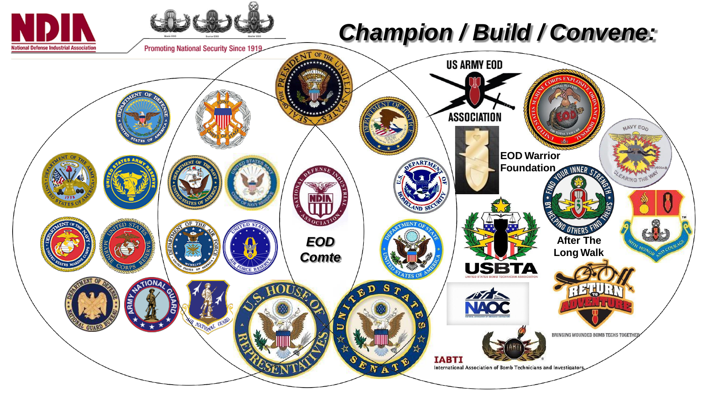## *Champion / Build / Convene:*